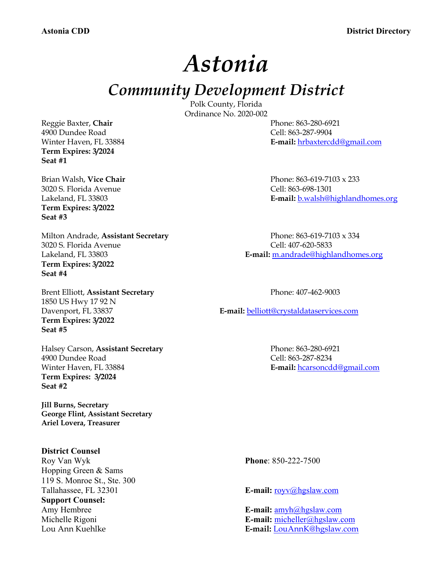*Astonia* 

*Community Development District*

Polk County, Florida Ordinance No. 2020-002

Winter Haven, FL 33884 **E-mail:** hrbaxtercdd@gmail.com

Reggie Baxter, **Chair** Phone: 863-280-6921 4900 Dundee Road Cell: 863-287-9904 **Term Expires: 3/2024 Seat #1**

3020 S. Florida Avenue Cell: 863-698-1301 **Term Expires: 3/2022 Seat #3**

Milton Andrade, **Assistant Secretary** Phone: 863-619-7103 x 334 3020 S. Florida Avenue Cell: 407-620-5833 **Term Expires: 3/2022 Seat #4**

Brent Elliott, Assistant Secretary Phone: 407-462-9003 1850 US Hwy 17 92 N **Term Expires: 3/2022 Seat #5**

Halsey Carson, **Assistant Secretary** Phone: 863-280-6921 4900 Dundee Road Cell: 863-287-8234 Winter Haven, FL 33884 **E-mail:** hcarsoncdd@gmail.com **Term Expires: 3/2024 Seat #2**

**Jill Burns, Secretary George Flint, Assistant Secretary Ariel Lovera, Treasurer**

### **District Counsel**

Roy Van Wyk **Phone**: 850-222-7500 Hopping Green & Sams 119 S. Monroe St., Ste. 300 Tallahassee, FL 32301 **E-mail:**  $\frac{rev(a) \text{hgslaw.com}}{E}$ **Support Counsel:** Amy Hembree **E-mail:**  $\frac{amvh@hqslaw.com}{amvh@hqslaw.com}$ 

Brian Walsh, **Vice Chair** Phone: 863-619-7103 x 233 Lakeland, FL 33803 **E-mail:** b.walsh@highlandhomes.org

Lakeland, FL 33803 **E-mail:** m.andrade@highlandhomes.org

Davenport, FL 33837 **E-mail:** belliott@crystaldataservices.com

Michelle Rigoni **E-mail:** micheller@hgslaw.com Lou Ann Kuehlke **E-mail:** LouAnnK@hgslaw.com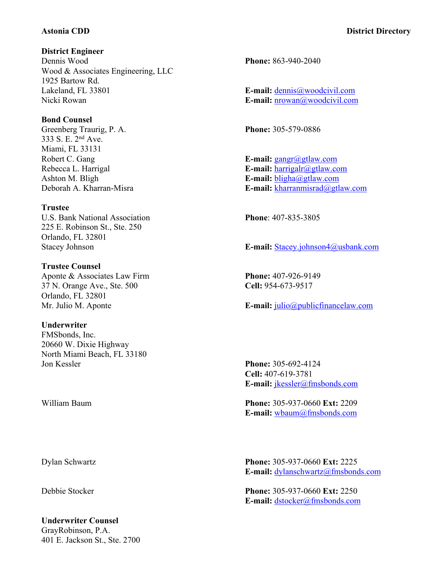### **District Engineer**

Dennis Wood **Phone:** 863-940-2040 Wood & Associates Engineering, LLC 1925 Bartow Rd. Lakeland, FL 33801 **E-mail:** dennis@woodcivil.com Nicki Rowan **E-mail:** nrowan@woodcivil.com

### **Bond Counsel**

Greenberg Traurig, P. A. **Phone:** 305-579-0886 333 S. E. 2nd Ave. Miami, FL 33131 Robert C. Gang **E-mail:** gangr@gtlaw.com

### **Trustee**

U.S. Bank National Association **Phone**: 407-835-3805 225 E. Robinson St., Ste. 250 Orlando, FL 32801

# **Trustee Counsel** Aponte & Associates Law Firm **Phone:** 407-926-9149 37 N. Orange Ave., Ste. 500 **Cell:** 954-673-9517 Orlando, FL 32801

## **Underwriter**

FMSbonds, Inc. 20660 W. Dixie Highway North Miami Beach, FL 33180 Jon Kessler **Phone:** 305-692-4124

## **Underwriter Counsel** GrayRobinson, P.A. 401 E. Jackson St., Ste. 2700

Rebecca L. Harrigal **E-mail:** harrigalr@gtlaw.com Ashton M. Bligh **E-mail:** bligha@gtlaw.com Deborah A. Kharran-Misra **E-mail:** kharranmisrad@gtlaw.com

Stacey Johnson **E-mail:** Stacey.johnson4@usbank.com

Mr. Julio M. Aponte **E-mail:** julio@publicfinancelaw.com

**Cell:** 407-619-3781 **E-mail:** jkessler@fmsbonds.com

William Baum **Phone:** 305-937-0660 **Ext:** 2209 **E-mail:** wbaum@fmsbonds.com

Dylan Schwartz **Phone:** 305-937-0660 **Ext:** 2225 **E-mail:** dylanschwartz@fmsbonds.com

Debbie Stocker **Phone:** 305-937-0660 **Ext:** 2250 **E-mail:** dstocker@fmsbonds.com